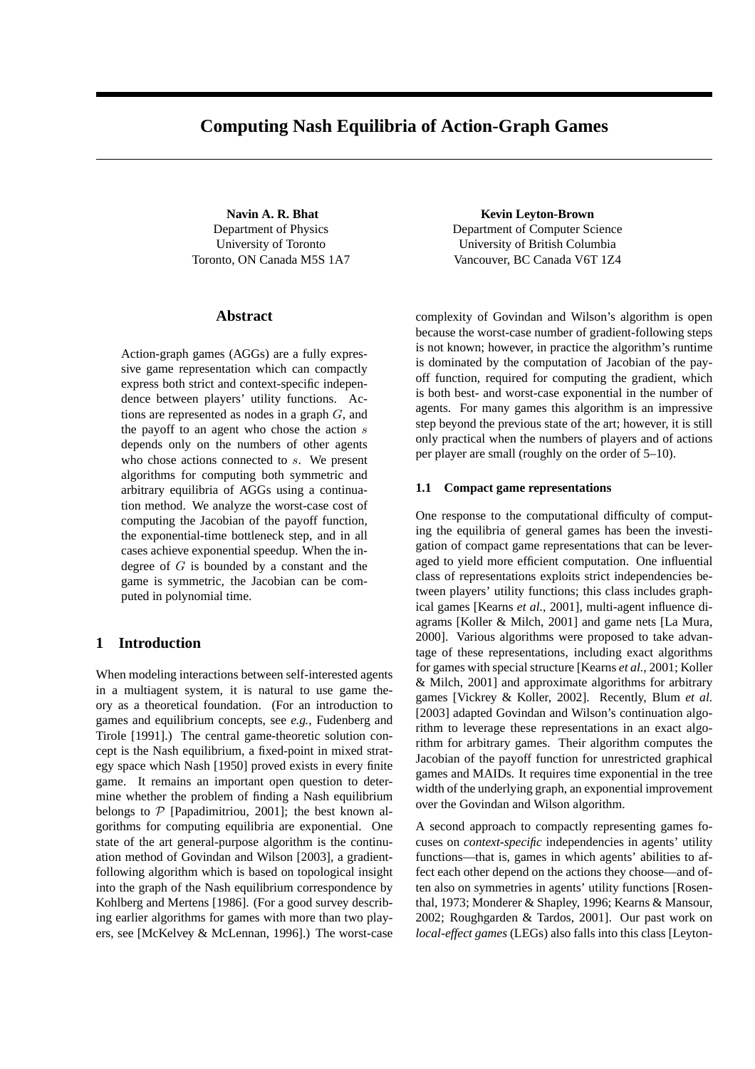# **Computing Nash Equilibria of Action-Graph Games**

**Navin A. R. Bhat** Department of Physics University of Toronto Toronto, ON Canada M5S 1A7

### **Abstract**

Action-graph games (AGGs) are a fully expressive game representation which can compactly express both strict and context-specific independence between players' utility functions. Actions are represented as nodes in a graph G, and the payoff to an agent who chose the action  $s$ depends only on the numbers of other agents who chose actions connected to s. We present algorithms for computing both symmetric and arbitrary equilibria of AGGs using a continuation method. We analyze the worst-case cost of computing the Jacobian of the payoff function, the exponential-time bottleneck step, and in all cases achieve exponential speedup. When the indegree of  $G$  is bounded by a constant and the game is symmetric, the Jacobian can be computed in polynomial time.

## **1 Introduction**

When modeling interactions between self-interested agents in a multiagent system, it is natural to use game theory as a theoretical foundation. (For an introduction to games and equilibrium concepts, see *e.g.*, Fudenberg and Tirole [1991].) The central game-theoretic solution concept is the Nash equilibrium, a fixed-point in mixed strategy space which Nash [1950] proved exists in every finite game. It remains an important open question to determine whether the problem of finding a Nash equilibrium belongs to  $P$  [Papadimitriou, 2001]; the best known algorithms for computing equilibria are exponential. One state of the art general-purpose algorithm is the continuation method of Govindan and Wilson [2003], a gradientfollowing algorithm which is based on topological insight into the graph of the Nash equilibrium correspondence by Kohlberg and Mertens [1986]. (For a good survey describing earlier algorithms for games with more than two players, see [McKelvey & McLennan, 1996].) The worst-case

**Kevin Leyton-Brown** Department of Computer Science University of British Columbia Vancouver, BC Canada V6T 1Z4

complexity of Govindan and Wilson's algorithm is open because the worst-case number of gradient-following steps is not known; however, in practice the algorithm's runtime is dominated by the computation of Jacobian of the payoff function, required for computing the gradient, which is both best- and worst-case exponential in the number of agents. For many games this algorithm is an impressive step beyond the previous state of the art; however, it is still only practical when the numbers of players and of actions per player are small (roughly on the order of 5–10).

### **1.1 Compact game representations**

One response to the computational difficulty of computing the equilibria of general games has been the investigation of compact game representations that can be leveraged to yield more efficient computation. One influential class of representations exploits strict independencies between players' utility functions; this class includes graphical games [Kearns *et al.*, 2001], multi-agent influence diagrams [Koller & Milch, 2001] and game nets [La Mura, 2000]. Various algorithms were proposed to take advantage of these representations, including exact algorithms for games with special structure [Kearns *et al.*, 2001; Koller & Milch, 2001] and approximate algorithms for arbitrary games [Vickrey & Koller, 2002]. Recently, Blum *et al.* [2003] adapted Govindan and Wilson's continuation algorithm to leverage these representations in an exact algorithm for arbitrary games. Their algorithm computes the Jacobian of the payoff function for unrestricted graphical games and MAIDs. It requires time exponential in the tree width of the underlying graph, an exponential improvement over the Govindan and Wilson algorithm.

A second approach to compactly representing games focuses on *context-specific* independencies in agents' utility functions—that is, games in which agents' abilities to affect each other depend on the actions they choose—and often also on symmetries in agents' utility functions [Rosenthal, 1973; Monderer & Shapley, 1996; Kearns & Mansour, 2002; Roughgarden & Tardos, 2001]. Our past work on *local-effect games* (LEGs) also falls into this class [Leyton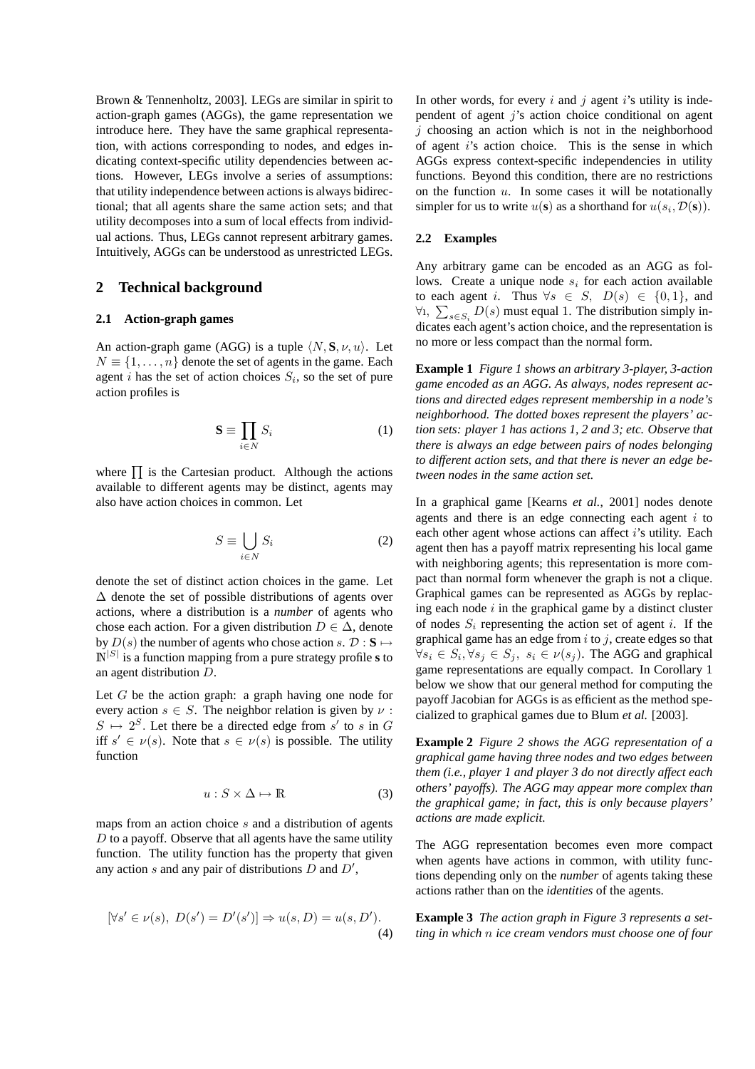Brown & Tennenholtz, 2003]. LEGs are similar in spirit to action-graph games (AGGs), the game representation we introduce here. They have the same graphical representation, with actions corresponding to nodes, and edges indicating context-specific utility dependencies between actions. However, LEGs involve a series of assumptions: that utility independence between actions is always bidirectional; that all agents share the same action sets; and that utility decomposes into a sum of local effects from individual actions. Thus, LEGs cannot represent arbitrary games. Intuitively, AGGs can be understood as unrestricted LEGs.

### **2 Technical background**

#### **2.1 Action-graph games**

An action-graph game (AGG) is a tuple  $\langle N, \mathbf{S}, \nu, u \rangle$ . Let  $N \equiv \{1, \ldots, n\}$  denote the set of agents in the game. Each agent *i* has the set of action choices  $S_i$ , so the set of pure action profiles is

$$
\mathbf{S} \equiv \prod_{i \in N} S_i \tag{1}
$$

where  $\prod$  is the Cartesian product. Although the actions available to different agents may be distinct, agents may also have action choices in common. Let

$$
S \equiv \bigcup_{i \in N} S_i \tag{2}
$$

denote the set of distinct action choices in the game. Let  $\Delta$  denote the set of possible distributions of agents over actions, where a distribution is a *number* of agents who chose each action. For a given distribution  $D \in \Delta$ , denote by  $D(s)$  the number of agents who chose action s.  $D : S \mapsto$  $\mathbb{N}^{|S|}$  is a function mapping from a pure strategy profile **s** to an agent distribution D.

Let  $G$  be the action graph: a graph having one node for every action  $s \in S$ . The neighbor relation is given by  $\nu$ :  $S \mapsto 2^S$ . Let there be a directed edge from s' to s in G iff  $s' \in \nu(s)$ . Note that  $s \in \nu(s)$  is possible. The utility function

$$
u: S \times \Delta \mapsto \mathbb{R} \tag{3}
$$

maps from an action choice s and a distribution of agents  $D$  to a payoff. Observe that all agents have the same utility function. The utility function has the property that given any action  $s$  and any pair of distributions  $D$  and  $D'$ ,

$$
[\forall s' \in \nu(s), \ D(s') = D'(s')] \Rightarrow u(s, D) = u(s, D').
$$
\n(4)

In other words, for every  $i$  and  $j$  agent  $i$ 's utility is independent of agent  $j$ 's action choice conditional on agent  $j$  choosing an action which is not in the neighborhood of agent  $i$ 's action choice. This is the sense in which AGGs express context-specific independencies in utility functions. Beyond this condition, there are no restrictions on the function  $u$ . In some cases it will be notationally simpler for us to write  $u(\mathbf{s})$  as a shorthand for  $u(s_i, \mathcal{D}(\mathbf{s}))$ .

### **2.2 Examples**

Any arbitrary game can be encoded as an AGG as follows. Create a unique node  $s_i$  for each action available to each agent i. Thus  $\forall s \in S$ ,  $D(s) \in \{0, 1\}$ , and  $\forall$ 1,  $\sum_{s \in S_i} D(s)$  must equal 1. The distribution simply indicates each agent's action choice, and the representation is no more or less compact than the normal form.

**Example 1** *Figure 1 shows an arbitrary 3-player, 3-action game encoded as an AGG. As always, nodes represent actions and directed edges represent membership in a node's neighborhood. The dotted boxes represent the players' action sets: player 1 has actions 1, 2 and 3; etc. Observe that there is always an edge between pairs of nodes belonging to different action sets, and that there is never an edge between nodes in the same action set.*

In a graphical game [Kearns *et al.*, 2001] nodes denote agents and there is an edge connecting each agent  $i$  to each other agent whose actions can affect  $i$ 's utility. Each agent then has a payoff matrix representing his local game with neighboring agents; this representation is more compact than normal form whenever the graph is not a clique. Graphical games can be represented as AGGs by replacing each node  $i$  in the graphical game by a distinct cluster of nodes  $S_i$  representing the action set of agent i. If the graphical game has an edge from  $i$  to  $j$ , create edges so that  $\forall s_i \in S_i, \forall s_j \in S_j, s_i \in \nu(s_j)$ . The AGG and graphical game representations are equally compact. In Corollary 1 below we show that our general method for computing the payoff Jacobian for AGGs is as efficient as the method specialized to graphical games due to Blum *et al.* [2003].

**Example 2** *Figure 2 shows the AGG representation of a graphical game having three nodes and two edges between them (i.e., player 1 and player 3 do not directly affect each others' payoffs). The AGG may appear more complex than the graphical game; in fact, this is only because players' actions are made explicit.*

The AGG representation becomes even more compact when agents have actions in common, with utility functions depending only on the *number* of agents taking these actions rather than on the *identities* of the agents.

**Example 3** *The action graph in Figure 3 represents a setting in which* n *ice cream vendors must choose one of four*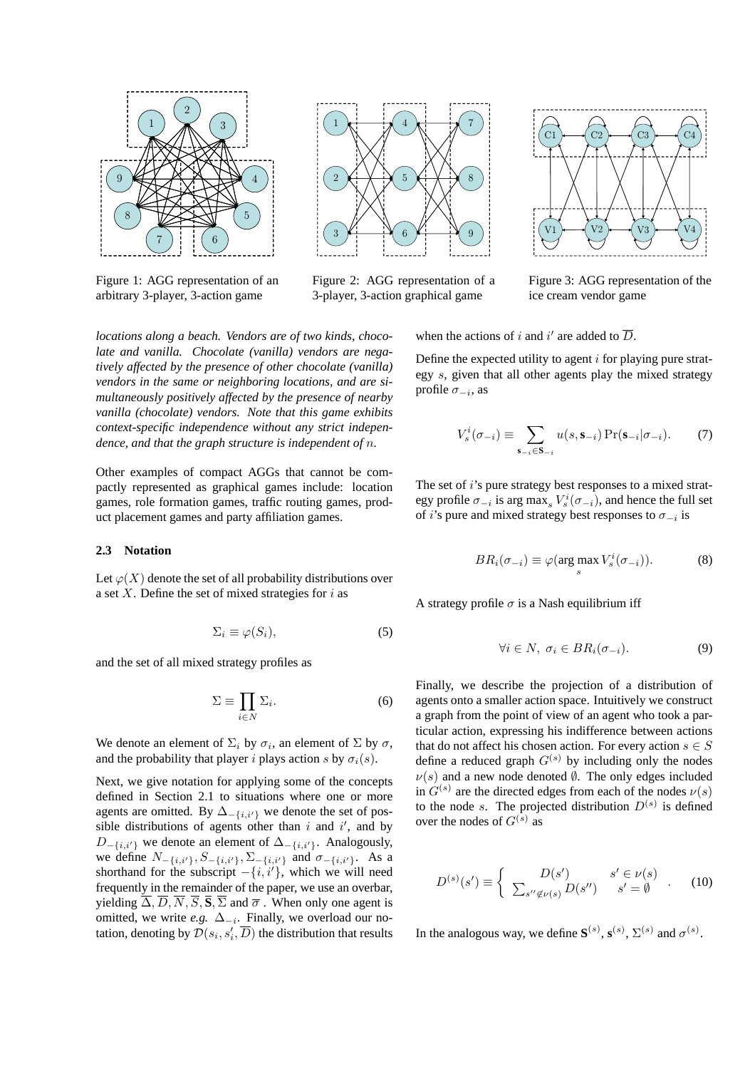

Figure 1: AGG representation of an arbitrary 3-player, 3-action game



Figure 2: AGG representation of a 3-player, 3-action graphical game

*locations along a beach. Vendors are of two kinds, chocolate and vanilla. Chocolate (vanilla) vendors are negatively affected by the presence of other chocolate (vanilla) vendors in the same or neighboring locations, and are simultaneously positively affected by the presence of nearby vanilla (chocolate) vendors. Note that this game exhibits context-specific independence without any strict independence, and that the graph structure is independent of* n*.*

Other examples of compact AGGs that cannot be compactly represented as graphical games include: location games, role formation games, traffic routing games, product placement games and party affiliation games.

### **2.3 Notation**

Let  $\varphi(X)$  denote the set of all probability distributions over a set  $X$ . Define the set of mixed strategies for  $i$  as

$$
\Sigma_i \equiv \varphi(S_i),\tag{5}
$$

and the set of all mixed strategy profiles as

$$
\Sigma \equiv \prod_{i \in N} \Sigma_i. \tag{6}
$$

We denote an element of  $\Sigma_i$  by  $\sigma_i$ , an element of  $\Sigma$  by  $\sigma$ , and the probability that player i plays action s by  $\sigma_i(s)$ .

Next, we give notation for applying some of the concepts defined in Section 2.1 to situations where one or more agents are omitted. By  $\Delta_{-\{i,i'\}}$  we denote the set of possible distributions of agents other than  $i$  and  $i'$ , and by  $D_{-\{i,i'\}}$  we denote an element of  $\Delta_{-\{i,i'\}}$ . Analogously, we define  $N_{-\{i,i'\}}, S_{-\{i,i'\}}, \Sigma_{-\{i,i'\}}$  and  $\sigma_{-\{i,i'\}}$ . As a shorthand for the subscript  $-\{i, i'\}$ , which we will need frequently in the remainder of the paper, we use an overbar, yielding  $\overline{\Delta}, \overline{D}, \overline{N}, \overline{S}, \overline{S}$  and  $\overline{\sigma}$ . When only one agent is omitted, we write *e.g.*  $\Delta_{-i}$ . Finally, we overload our notation, denoting by  $\mathcal{D}(s_i,s'_i,\overline{D})$  the distribution that results



Figure 3: AGG representation of the ice cream vendor game

when the actions of i and i' are added to  $\overline{D}$ .

Define the expected utility to agent  $i$  for playing pure strategy s, given that all other agents play the mixed strategy profile  $\sigma_{-i}$ , as

$$
V_s^i(\sigma_{-i}) \equiv \sum_{\mathbf{s}_{-i} \in \mathbf{S}_{-i}} u(s, \mathbf{s}_{-i}) \Pr(\mathbf{s}_{-i} | \sigma_{-i}). \tag{7}
$$

The set of i's pure strategy best responses to a mixed strategy profile  $\sigma_{-i}$  is arg max<sub>s</sub>  $V_s^i(\sigma_{-i})$ , and hence the full set of *i*'s pure and mixed strategy best responses to  $\sigma_{-i}$  is

$$
BR_i(\sigma_{-i}) \equiv \varphi(\arg\max_s V_s^i(\sigma_{-i})).
$$
 (8)

A strategy profile  $\sigma$  is a Nash equilibrium iff

$$
\forall i \in N, \ \sigma_i \in BR_i(\sigma_{-i}).\tag{9}
$$

Finally, we describe the projection of a distribution of agents onto a smaller action space. Intuitively we construct a graph from the point of view of an agent who took a particular action, expressing his indifference between actions that do not affect his chosen action. For every action  $s \in S$ define a reduced graph  $G^{(s)}$  by including only the nodes  $\nu(s)$  and a new node denoted  $\emptyset$ . The only edges included in  $G^{(s)}$  are the directed edges from each of the nodes  $\nu(s)$ to the node s. The projected distribution  $D^{(s)}$  is defined over the nodes of  $G^{(s)}$  as

$$
D^{(s)}(s') \equiv \begin{cases} D(s') & s' \in \nu(s) \\ \sum_{s'' \notin \nu(s)} D(s'') & s' = \emptyset \end{cases} . \tag{10}
$$

In the analogous way, we define  $S^{(s)}$ ,  $S^{(s)}$ ,  $\Sigma^{(s)}$  and  $\sigma^{(s)}$ .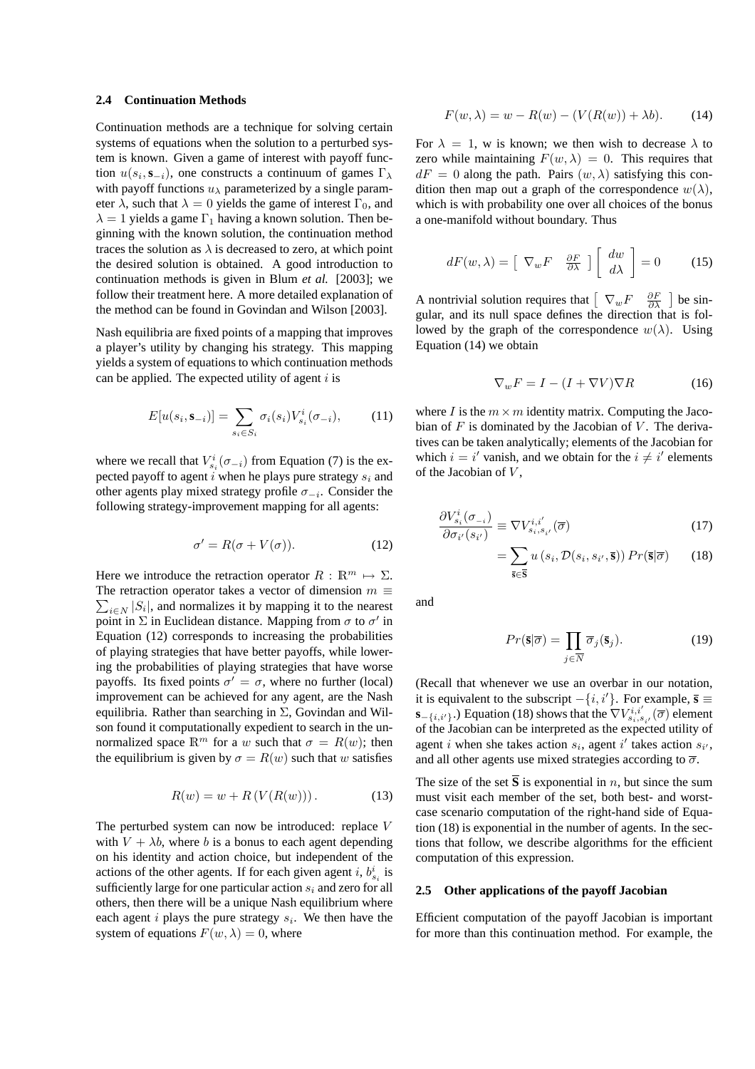#### **2.4 Continuation Methods**

Continuation methods are a technique for solving certain systems of equations when the solution to a perturbed system is known. Given a game of interest with payoff function  $u(s_i, \mathbf{s}_{-i})$ , one constructs a continuum of games  $\Gamma_{\lambda}$ with payoff functions  $u_{\lambda}$  parameterized by a single parameter  $\lambda$ , such that  $\lambda = 0$  yields the game of interest  $\Gamma_0$ , and  $\lambda = 1$  yields a game  $\Gamma_1$  having a known solution. Then beginning with the known solution, the continuation method traces the solution as  $\lambda$  is decreased to zero, at which point the desired solution is obtained. A good introduction to continuation methods is given in Blum *et al.* [2003]; we follow their treatment here. A more detailed explanation of the method can be found in Govindan and Wilson [2003].

Nash equilibria are fixed points of a mapping that improves a player's utility by changing his strategy. This mapping yields a system of equations to which continuation methods can be applied. The expected utility of agent  $i$  is

$$
E[u(s_i, \mathbf{s}_{-i})] = \sum_{s_i \in S_i} \sigma_i(s_i) V_{s_i}^i(\sigma_{-i}), \qquad (11)
$$

where we recall that  $V_{s_i}^i(\sigma_{-i})$  from Equation (7) is the expected payoff to agent i when he plays pure strategy  $s_i$  and other agents play mixed strategy profile  $\sigma_{-i}$ . Consider the following strategy-improvement mapping for all agents:

$$
\sigma' = R(\sigma + V(\sigma)).\tag{12}
$$

Here we introduce the retraction operator  $R : \mathbb{R}^m \mapsto \Sigma$ . The retraction operator takes a vector of dimension  $m \equiv$  $_{i\in N}$  |S<sub>i</sub>|, and normalizes it by mapping it to the nearest point in  $\Sigma$  in Euclidean distance. Mapping from  $\sigma$  to  $\sigma'$  in Equation (12) corresponds to increasing the probabilities of playing strategies that have better payoffs, while lowering the probabilities of playing strategies that have worse payoffs. Its fixed points  $\sigma' = \sigma$ , where no further (local) improvement can be achieved for any agent, are the Nash equilibria. Rather than searching in  $\Sigma$ , Govindan and Wilson found it computationally expedient to search in the unnormalized space  $\mathbb{R}^m$  for a w such that  $\sigma = R(w)$ ; then the equilibrium is given by  $\sigma = R(w)$  such that w satisfies

$$
R(w) = w + R(V(R(w))).
$$
 (13)

The perturbed system can now be introduced: replace V with  $V + \lambda b$ , where b is a bonus to each agent depending on his identity and action choice, but independent of the actions of the other agents. If for each given agent i,  $b_{s_i}^i$  is sufficiently large for one particular action  $s_i$  and zero for all others, then there will be a unique Nash equilibrium where each agent  $i$  plays the pure strategy  $s_i$ . We then have the system of equations  $F(w, \lambda) = 0$ , where

$$
F(w, \lambda) = w - R(w) - (V(R(w)) + \lambda b). \tag{14}
$$

For  $\lambda = 1$ , w is known; we then wish to decrease  $\lambda$  to zero while maintaining  $F(w, \lambda) = 0$ . This requires that  $dF = 0$  along the path. Pairs  $(w, \lambda)$  satisfying this condition then map out a graph of the correspondence  $w(\lambda)$ . which is with probability one over all choices of the bonus a one-manifold without boundary. Thus

$$
dF(w,\lambda) = \begin{bmatrix} \nabla_w F & \frac{\partial F}{\partial \lambda} \end{bmatrix} \begin{bmatrix} dw \\ d\lambda \end{bmatrix} = 0 \quad (15)
$$

A nontrivial solution requires that  $\left[ \nabla_{w} F \quad \frac{\partial F}{\partial \lambda} \right]$ ¤ be singular, and its null space defines the direction that is followed by the graph of the correspondence  $w(\lambda)$ . Using Equation (14) we obtain

$$
\nabla_w F = I - (I + \nabla V)\nabla R \tag{16}
$$

where I is the  $m \times m$  identity matrix. Computing the Jacobian of  $F$  is dominated by the Jacobian of  $V$ . The derivatives can be taken analytically; elements of the Jacobian for which  $i = i'$  vanish, and we obtain for the  $i \neq i'$  elements of the Jacobian of  $V$ ,

$$
\frac{\partial V_{s_i}^i(\sigma_{-i})}{\partial \sigma_{i'}(s_{i'})} \equiv \nabla V_{s_i, s_{i'}}^{i,i'}(\overline{\sigma})
$$
\n(17)

$$
= \sum_{\overline{\mathbf{s}} \in \overline{\mathbf{S}}} u\left(s_i, \mathcal{D}(s_i, s_{i'}, \overline{\mathbf{s}})\right) Pr(\overline{\mathbf{s}} | \overline{\sigma}) \qquad (18)
$$

and

$$
Pr(\bar{\mathbf{s}}|\overline{\sigma}) = \prod_{j \in \overline{N}} \overline{\sigma}_j(\bar{\mathbf{s}}_j).
$$
 (19)

(Recall that whenever we use an overbar in our notation, it is equivalent to the subscript  $-{i, i'}.$  For example,  $\bar{\mathbf{s}} \equiv$ **s**−{i,i<sup>i</sup>}.) Equation (18) shows that the  $\nabla V_{s_i,s_{i'}}^{i,i'}(\overline{\sigma})$  element of the Jacobian can be interpreted as the expected utility of agent *i* when she takes action  $s_i$ , agent *i'* takes action  $s_{i'}$ , and all other agents use mixed strategies according to  $\overline{\sigma}$ .

The size of the set  $\overline{S}$  is exponential in *n*, but since the sum must visit each member of the set, both best- and worstcase scenario computation of the right-hand side of Equation (18) is exponential in the number of agents. In the sections that follow, we describe algorithms for the efficient computation of this expression.

### **2.5 Other applications of the payoff Jacobian**

Efficient computation of the payoff Jacobian is important for more than this continuation method. For example, the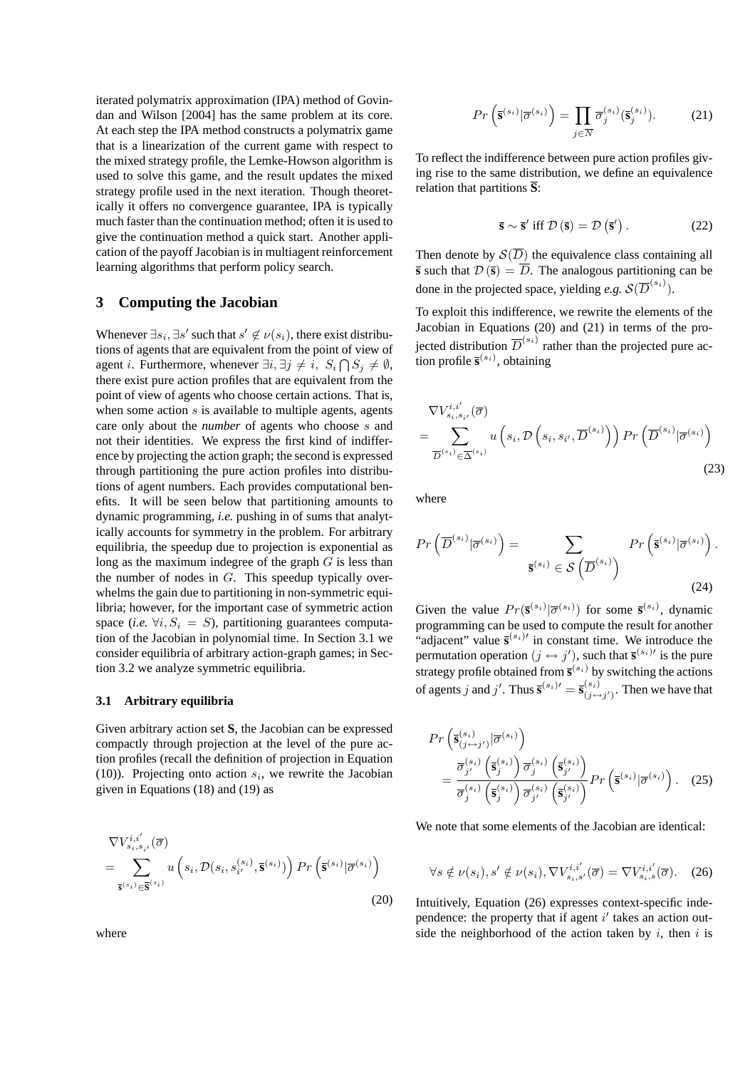iterated polymatrix approximation (IPA) method of Govindan and Wilson [2004] has the same problem at its core. At each step the IPA method constructs a polymatrix game that is a linearization of the current game with respect to the mixed strategy profile, the Lemke-Howson algorithm is used to solve this game, and the result updates the mixed strategy profile used in the next iteration. Though theoretically it offers no convergence guarantee, IPA is typically much faster than the continuation method; often it is used to give the continuation method a quick start. Another application of the payoff Jacobian is in multiagent reinforcement learning algorithms that perform policy search.

# **3 Computing the Jacobian**

Whenever  $\exists s_i, \exists s'$  such that  $s' \notin \nu(s_i)$ , there exist distributions of agents that are equivalent from the point of view of agent *i*. Furthermore, whenever  $\exists i, \exists j \neq i, S_i \bigcap S_j \neq \emptyset$ , there exist pure action profiles that are equivalent from the point of view of agents who choose certain actions. That is, when some action  $s$  is available to multiple agents, agents care only about the *number* of agents who choose s and not their identities. We express the first kind of indifference by projecting the action graph; the second is expressed through partitioning the pure action profiles into distributions of agent numbers. Each provides computational benefits. It will be seen below that partitioning amounts to dynamic programming, *i.e.* pushing in of sums that analytically accounts for symmetry in the problem. For arbitrary equilibria, the speedup due to projection is exponential as long as the maximum indegree of the graph  $G$  is less than the number of nodes in G. This speedup typically overwhelms the gain due to partitioning in non-symmetric equilibria; however, for the important case of symmetric action space (*i.e.*  $\forall i, S_i = S$ ), partitioning guarantees computation of the Jacobian in polynomial time. In Section 3.1 we consider equilibria of arbitrary action-graph games; in Section 3.2 we analyze symmetric equilibria.

#### **3.1 Arbitrary equilibria**

Given arbitrary action set **S**, the Jacobian can be expressed compactly through projection at the level of the pure action profiles (recall the definition of projection in Equation (10)). Projecting onto action  $s_i$ , we rewrite the Jacobian given in Equations (18) and (19) as

$$
\nabla V_{s_i, s_{i'}}^{i, i'}(\overline{\sigma})
$$
\n
$$
= \sum_{\overline{\mathbf{s}}^{(s_i)} \in \overline{\mathbf{S}}^{(s_i)}} u\left(s_i, \mathcal{D}(s_i, s_{i'}^{(s_i)}, \overline{\mathbf{s}}^{(s_i)})\right) Pr\left(\overline{\mathbf{s}}^{(s_i)} | \overline{\sigma}^{(s_i)}\right)
$$
\n(20)

$$
Pr\left(\overline{\mathbf{s}}^{(s_i)}|\overline{\sigma}^{(s_i)}\right) = \prod_{j \in \overline{N}} \overline{\sigma}_j^{(s_i)}(\overline{\mathbf{s}}_j^{(s_i)}).
$$
 (21)

To reflect the indifference between pure action profiles giving rise to the same distribution, we define an equivalence relation that partitions **S**:

$$
\overline{\mathbf{s}} \sim \overline{\mathbf{s}}' \text{ iff } \mathcal{D}(\overline{\mathbf{s}}) = \mathcal{D}(\overline{\mathbf{s}}'). \tag{22}
$$

Then denote by  $S(\overline{D})$  the equivalence class containing all **s** such that  $\mathcal{D}(\bar{\mathbf{s}}) = \overline{D}$ . The analogous partitioning can be done in the projected space, yielding *e.g.*  $\mathcal{S}(\overline{D}^{(s_i)})$ .

To exploit this indifference, we rewrite the elements of the Jacobian in Equations (20) and (21) in terms of the projected distribution  $\overline{D}^{(s_i)}$  rather than the projected pure action profile  $\bar{\mathbf{s}}^{(s_i)}$ , obtaining

$$
\nabla V_{s_i, s_{i'}}^{i, i'}(\overline{\sigma}) = \sum_{\overline{D}^{(s_i)} \in \overline{\Delta}^{(s_i)}} u\left(s_i, \mathcal{D}\left(s_i, s_{i'}, \overline{D}^{(s_i)}\right)\right) \Pr\left(\overline{D}^{(s_i)} | \overline{\sigma}^{(s_i)}\right)
$$
\n(23)

where

$$
Pr\left(\overline{D}^{(s_i)}|\overline{\sigma}^{(s_i)}\right) = \sum_{\overline{\mathbf{s}}^{(s_i)} \in \mathcal{S}\left(\overline{D}^{(s_i)}\right)} Pr\left(\overline{\mathbf{s}}^{(s_i)}|\overline{\sigma}^{(s_i)}\right).
$$
\n(24)

Given the value  $Pr(\bar{\mathbf{s}}^{(s_i)} | \bar{\sigma}^{(s_i)})$  for some  $\bar{\mathbf{s}}^{(s_i)}$ , dynamic programming can be used to compute the result for another "adjacent" value  $\bar{\mathbf{s}}^{(s_i)}$  in constant time. We introduce the permutation operation  $(j \leftrightarrow j')$ , such that  $\bar{\mathbf{s}}^{(s_i)}$  is the pure strategy profile obtained from  $\bar{\mathbf{s}}^{(s_i)}$  by switching the actions of agents j and j'. Thus  $\bar{\mathbf{s}}^{(s_i)} = \bar{\mathbf{s}}_{(j \leftrightarrow j')}^{(s_i)}$ . Then we have that

$$
Pr\left(\overline{\mathbf{s}}_{(j\leftrightarrow j')}^{(s_i)}|\overline{\sigma}^{(s_i)}\right) = \frac{\overline{\sigma}_{j'}^{(s_i)}\left(\overline{\mathbf{s}}_{j}^{(s_i)}\right)\overline{\sigma}_{j}^{(s_i)}\left(\overline{\mathbf{s}}_{j'}^{(s_i)}\right)}{\overline{\sigma}_{j}^{(s_i)}\left(\overline{\mathbf{s}}_{j'}^{(s_i)}\right)\overline{\sigma}_{j'}^{(s_i)}\left(\overline{\mathbf{s}}_{j'}^{(s_i)}\right)} Pr\left(\overline{\mathbf{s}}^{(s_i)}|\overline{\sigma}^{(s_i)}\right). (25)
$$

We note that some elements of the Jacobian are identical:

$$
\forall s \notin \nu(s_i), s' \notin \nu(s_i), \nabla V_{s_i,s'}^{i,i'}(\overline{\sigma}) = \nabla V_{s_i,s}^{i,i'}(\overline{\sigma}). \quad (26)
$$

Intuitively, Equation (26) expresses context-specific independence: the property that if agent  $i'$  takes an action outside the neighborhood of the action taken by i, then i is

where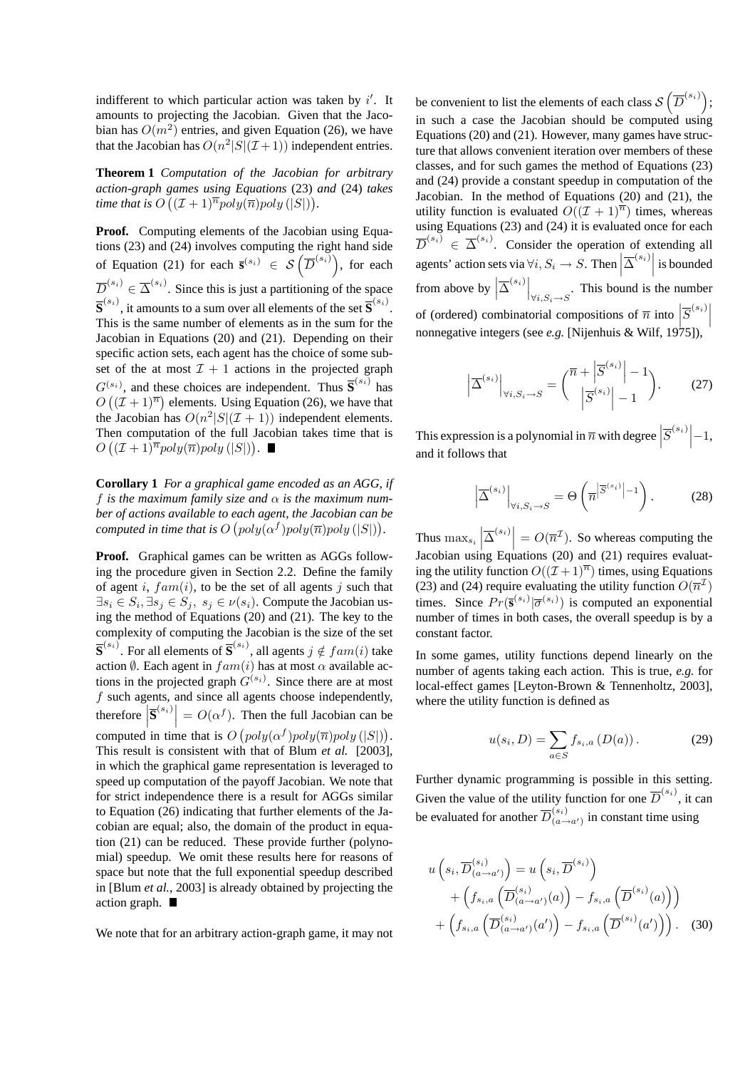indifferent to which particular action was taken by  $i'$ . It amounts to projecting the Jacobian. Given that the Jacobian has  $O(m^2)$  entries, and given Equation (26), we have that the Jacobian has  $O(n^2|S|(\mathcal{I}+1))$  independent entries.

**Theorem 1** *Computation of the Jacobian for arbitrary action-graph games using Equations* (23) *and* (24) *takes* ¡ ¢ *time that is*  $O((\mathcal{I} + 1)^{\overline{n}} poly(\overline{n}) poly(|S|)).$ 

**Proof.** Computing elements of the Jacobian using Equations (23) and (24) involves computing the right hand side tions (23) and (24) involves computing the right hand side<br>of Equation (21) for each  $\bar{s}^{(s_i)} \in S(\overline{D}^{(s_i)})$ , for each  $\overline{D}^{(s_i)} \in \overline{\Delta}^{(s_i)}$ . Since this is just a partitioning of the space  $\overline{\mathbf{S}}^{(s_i)}$ , it amounts to a sum over all elements of the set  $\overline{\mathbf{S}}^{(s_i)}$ . This is the same number of elements as in the sum for the Jacobian in Equations (20) and (21). Depending on their specific action sets, each agent has the choice of some subset of the at most  $\mathcal{I} + 1$  actions in the projected graph  $G^{(s_i)}$ , and these choices are independent. Thus  $\overline{S}^{(s_i)}$  has  $O((\mathcal{I} + 1)^{\overline{n}})$  elements. Using Equation (26), we have that the Jacobian has  $O(n^2|S|(\mathcal{I}+1))$  independent elements. Then computation of the full Jacobian takes time that is  $O((\mathcal{I} + 1)^{\overline{n}} poly(\overline{n}) poly(|S|)).$ 

**Corollary 1** *For a graphical game encoded as an AGG, if* f *is the maximum family size and*  $\alpha$  *is the maximum num*ber of actions available to each agent, the Jacobian can be *computed in time that is*  $O(poly(\alpha^{f})poly(\overline{n})poly(|S|)).$ 

**Proof.** Graphical games can be written as AGGs following the procedure given in Section 2.2. Define the family of agent i,  $f a m(i)$ , to be the set of all agents j such that  $\exists s_i \in S_i, \exists s_j \in S_j, s_j \in \nu(s_i)$ . Compute the Jacobian using the method of Equations (20) and (21). The key to the complexity of computing the Jacobian is the size of the set  $\overline{\mathbf{S}}^{(s_i)}$ . For all elements of  $\overline{\mathbf{S}}^{(s_i)}$ , all agents  $j \notin fam(i)$  take action  $\emptyset$ . Each agent in  $f a m(i)$  has at most  $\alpha$  available actions in the projected graph  $G^{(s_i)}$ . Since there are at most  $f$  such agents, and since all agents choose independently, therefore  $\left| \overline{\mathbf{S}}^{(s_i)} \right| = O(\alpha^f)$ . Then the full Jacobian can be computed in time that is O ¡  $poly(\alpha^f)poly(\overline{n})poly(|S|)$ ¢ . This result is consistent with that of Blum *et al.* [2003], in which the graphical game representation is leveraged to speed up computation of the payoff Jacobian. We note that for strict independence there is a result for AGGs similar to Equation (26) indicating that further elements of the Jacobian are equal; also, the domain of the product in equation (21) can be reduced. These provide further (polynomial) speedup. We omit these results here for reasons of space but note that the full exponential speedup described in [Blum *et al.*, 2003] is already obtained by projecting the action graph.

We note that for an arbitrary action-graph game, it may not

be convenient to list the elements of each class  $\mathcal{S}\left(\overline{D}^{(s_i)}\right);$  $\overline{a}$ ´ in such a case the Jacobian should be computed using Equations (20) and (21). However, many games have structure that allows convenient iteration over members of these classes, and for such games the method of Equations (23) and (24) provide a constant speedup in computation of the Jacobian. In the method of Equations (20) and (21), the utility function is evaluated  $O((\mathcal{I} + 1)^{\overline{n}})$  times, whereas using Equations (23) and (24) it is evaluated once for each  $\overline{D}^{(s_i)} \in \overline{\Delta}^{(s_i)}$ . Consider the operation of extending all agents' action sets via  $\forall i, S_i \rightarrow S$ . Then  $|\overline{\Delta}^{(s_i)}|$  is bounded from above by  $\left| \overline{\Delta}^{(s_i)} \right|_{\forall i, S_i \to S}$ . This bound is the number of (ordered) combinatorial compositions of  $\overline{n}$  into  $|\overline{S}^{(s_i)}|$  $\frac{1}{2}$   $\frac{1}{2}$   $\frac{1}{2}$ nonnegative integers (see *e.g.* [Nijenhuis & Wilf, 1975]).

$$
\left| \overline{\Delta}^{(s_i)} \right|_{\forall i, S_i \to S} = {\overline{n} + \left| \overline{S}^{(s_i)} \right| - 1 \choose \left| \overline{S}^{(s_i)} \right| - 1}. \tag{27}
$$

This expression is a polynomial in  $\overline{n}$  with degree  $\left| \overline{S}^{(s_i)} \right|$  -1, and it follows that

$$
\left| \overline{\Delta}^{(s_i)} \right|_{\forall i, S_i \to S} = \Theta \left( \overline{n}^{\left| \overline{S}^{(s_i)} \right| - 1} \right). \tag{28}
$$

Thus  $\max_{s_i}$  $\left| \overline{\Delta}^{(s_i)} \right| = O(\overline{n}^{\mathcal{I}})$ . So whereas computing the Jacobian using Equations (20) and (21) requires evaluating the utility function  $O((\mathcal{I} + 1)^{\overline{n}})$  times, using Equations (23) and (24) require evaluating the utility function  $O(\overline{n}^{\mathcal{I}})$ times. Since  $Pr(\bar{\mathbf{s}}^{(s_i)} | \bar{\sigma}^{(s_i)})$  is computed an exponential number of times in both cases, the overall speedup is by a constant factor.

In some games, utility functions depend linearly on the number of agents taking each action. This is true, *e.g.* for local-effect games [Leyton-Brown & Tennenholtz, 2003], where the utility function is defined as

$$
u(s_i, D) = \sum_{a \in S} f_{s_i, a} (D(a)).
$$
 (29)

Further dynamic programming is possible in this setting. Given the value of the utility function for one  $\overline{D}^{(s_i)}$ , it can be evaluated for another  $\overline{D}_{(a)}^{(s_i)}$  $\binom{s_i}{(a\rightarrow a')}$  in constant time using

$$
u\left(s_i, \overline{D}_{(a \to a')}^{(s_i)}\right) = u\left(s_i, \overline{D}^{(s_i)}\right)
$$
  
+ 
$$
\left(f_{s_i, a}\left(\overline{D}_{(a \to a')}^{(s_i)}(a)\right) - f_{s_i, a}\left(\overline{D}^{(s_i)}(a)\right)\right)
$$
  
+ 
$$
\left(f_{s_i, a}\left(\overline{D}_{(a \to a')}^{(s_i)}(a')\right) - f_{s_i, a}\left(\overline{D}^{(s_i)}(a')\right)\right).
$$
 (30)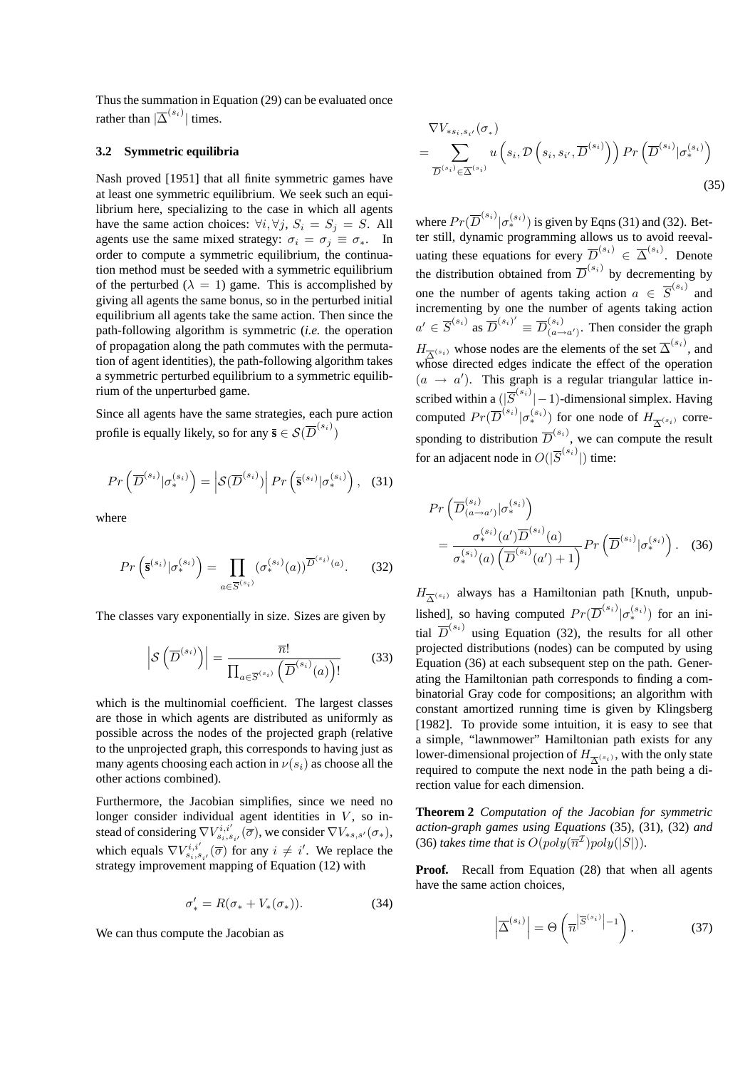Thus the summation in Equation (29) can be evaluated once rather than  $|\overline{\Delta}^{(s_i)}|$  times.

### **3.2 Symmetric equilibria**

Nash proved [1951] that all finite symmetric games have at least one symmetric equilibrium. We seek such an equilibrium here, specializing to the case in which all agents have the same action choices:  $\forall i, \forall j, S_i = S_j = S$ . All agents use the same mixed strategy:  $\sigma_i = \sigma_j \equiv \sigma_*$ . In order to compute a symmetric equilibrium, the continuation method must be seeded with a symmetric equilibrium of the perturbed ( $\lambda = 1$ ) game. This is accomplished by giving all agents the same bonus, so in the perturbed initial equilibrium all agents take the same action. Then since the path-following algorithm is symmetric (*i.e.* the operation of propagation along the path commutes with the permutation of agent identities), the path-following algorithm takes a symmetric perturbed equilibrium to a symmetric equilibrium of the unperturbed game.

Since all agents have the same strategies, each pure action profile is equally likely, so for any  $\bar{\mathbf{s}} \in \mathcal{S}(\overline{D}^{(s_i)})$ 

$$
Pr\left(\overline{D}^{(s_i)}|\sigma_*^{(s_i)}\right) = \left| \mathcal{S}(\overline{D}^{(s_i)}) \right| Pr\left(\overline{\mathbf{s}}^{(s_i)}|\sigma_*^{(s_i)}\right), \quad (31)
$$

where

$$
Pr\left(\bar{\mathbf{s}}^{(s_i)}|\sigma_*^{(s_i)}\right) = \prod_{a \in \overline{S}^{(s_i)}} (\sigma_*^{(s_i)}(a))^{\overline{D}^{(s_i)}(a)}.\tag{32}
$$

The classes vary exponentially in size. Sizes are given by

$$
\left| \mathcal{S} \left( \overline{D}^{(s_i)} \right) \right| = \frac{\overline{n}!}{\prod_{a \in \overline{S}^{(s_i)}} \left( \overline{D}^{(s_i)}(a) \right)!} \tag{33}
$$

which is the multinomial coefficient. The largest classes are those in which agents are distributed as uniformly as possible across the nodes of the projected graph (relative to the unprojected graph, this corresponds to having just as many agents choosing each action in  $\nu(s_i)$  as choose all the other actions combined).

Furthermore, the Jacobian simplifies, since we need no longer consider individual agent identities in  $V$ , so instead of considering  $\nabla V_{s_i,s_{i'}}^{i,i'}(\overline{\sigma})$ , we consider  $\nabla V_{*s,s'}(\sigma_*)$ , which equals  $\nabla V_{s_i,s_{i'}}^{i,i'}(\overline{\sigma})$  for any  $i \neq i'$ . We replace the strategy improvement mapping of Equation (12) with

$$
\sigma'_{*} = R(\sigma_{*} + V_{*}(\sigma_{*})). \tag{34}
$$

We can thus compute the Jacobian as

$$
\nabla V_{*s_i, s_{i'}}(\sigma_*)
$$
\n
$$
= \sum_{\overline{D}^{(s_i)} \in \overline{\Delta}^{(s_i)}} u\left(s_i, \mathcal{D}\left(s_i, s_{i'}, \overline{D}^{(s_i)}\right)\right) \Pr\left(\overline{D}^{(s_i)} | \sigma_*^{(s_i)}\right)
$$
\n(35)

=

where  $Pr(\overline{D}^{(s_i)} | \sigma_*^{(s_i)})$  is given by Eqns (31) and (32). Better still, dynamic programming allows us to avoid reevaluating these equations for every  $\overline{D}^{(s_i)} \in \overline{\Delta}^{(s_i)}$ . Denote the distribution obtained from  $\overline{D}^{(s_i)}$  by decrementing by one the number of agents taking action  $a \in \overline{S}^{(s_i)}$  and incrementing by one the number of agents taking action  $a' \in \overline{S}^{(s_i)}$  as  $\overline{D}^{(s_i)'} \equiv \overline{D}^{(s_i)}_{(a-1)}$  $\binom{3i}{(a\rightarrow a')}$ . Then consider the graph  $H_{\overline{\Delta}^{(s_i)}}$  whose nodes are the elements of the set  $\overline{\Delta}^{(s_i)}$ , and whose directed edges indicate the effect of the operation  $(a \rightarrow a')$ . This graph is a regular triangular lattice inscribed within a  $(|\overline{S}^{(s_i)}| - 1)$ -dimensional simplex. Having computed  $Pr(\overline{D}^{(s_i)} | \sigma_*^{(s_i)})$  for one node of  $H_{\overline{\Delta}^{(s_i)}}$  corresponding to distribution  $\overline{D}^{(s_i)}$ , we can compute the result for an adjacent node in  $O(|\overline{S}^{(s_i)}|)$  time:

$$
Pr\left(\overline{D}_{(a\to a')}^{(s_i)}|\sigma_*^{(s_i)}\right)
$$
  
= 
$$
\frac{\sigma_*^{(s_i)}(a')\overline{D}^{(s_i)}(a)}{\sigma_*^{(s_i)}(a)\left(\overline{D}^{(s_i)}(a')+1\right)}Pr\left(\overline{D}^{(s_i)}|\sigma_*^{(s_i)}\right).
$$
 (36)

 $H_{\overline{\Delta}^{(s_i)}}$  always has a Hamiltonian path [Knuth, unpublished], so having computed  $Pr(\overline{D}^{(s_i)} | \sigma_*^{(s_i)})$  for an initial  $\overline{D}^{(s_i)}$  using Equation (32), the results for all other projected distributions (nodes) can be computed by using Equation (36) at each subsequent step on the path. Generating the Hamiltonian path corresponds to finding a combinatorial Gray code for compositions; an algorithm with constant amortized running time is given by Klingsberg [1982]. To provide some intuition, it is easy to see that a simple, "lawnmower" Hamiltonian path exists for any lower-dimensional projection of  $H_{\overline{\Delta}^{(s_i)}}$ , with the only state required to compute the next node in the path being a direction value for each dimension.

**Theorem 2** *Computation of the Jacobian for symmetric action-graph games using Equations* (35)*,* (31)*,* (32) *and* (36) *takes time that is*  $O(poly(\overline{n}^{\mathcal{I}})poly(|S|)).$ 

**Proof.** Recall from Equation (28) that when all agents have the same action choices,

$$
\left| \overline{\Delta}^{(s_i)} \right| = \Theta \left( \overline{n}^{\left| \overline{S}^{(s_i)} \right| - 1} \right). \tag{37}
$$